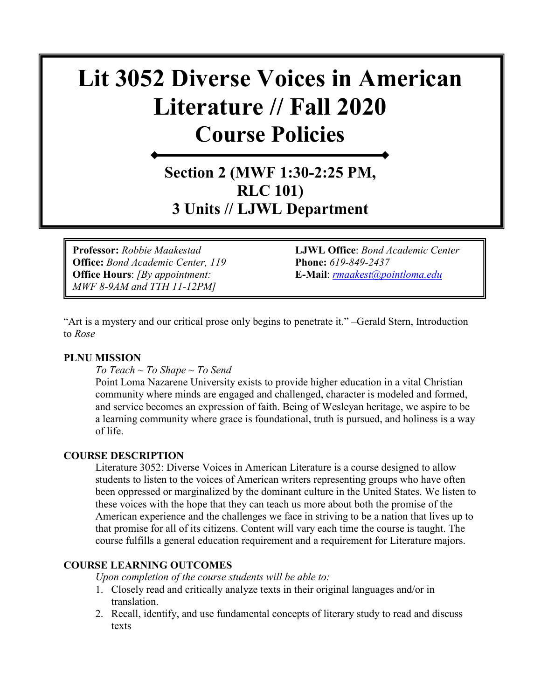# **Lit 3052 Diverse Voices in American Literature // Fall 2020 Course Policies**

## **Section 2 (MWF 1:30-2:25 PM, RLC 101) 3 Units // LJWL Department**

**Professor:** *Robbie Maakestad* **LJWL Office**: *Bond Academic Center*  **Office:** *Bond Academic Center, 119* **Phone:** *619-849-2437* **Office Hours**: *[By appointment:* **E-Mail**: *[rmaakest@pointloma.edu](mailto:rmaakest@pointloma.edu) MWF 8-9AM and TTH 11-12PM]*

"Art is a mystery and our critical prose only begins to penetrate it." –Gerald Stern, Introduction to *Rose*

#### **PLNU MISSION**

*To Teach ~ To Shape ~ To Send* 

Point Loma Nazarene University exists to provide higher education in a vital Christian community where minds are engaged and challenged, character is modeled and formed, and service becomes an expression of faith. Being of Wesleyan heritage, we aspire to be a learning community where grace is foundational, truth is pursued, and holiness is a way of life.

#### **COURSE DESCRIPTION**

Literature 3052: Diverse Voices in American Literature is a course designed to allow students to listen to the voices of American writers representing groups who have often been oppressed or marginalized by the dominant culture in the United States. We listen to these voices with the hope that they can teach us more about both the promise of the American experience and the challenges we face in striving to be a nation that lives up to that promise for all of its citizens. Content will vary each time the course is taught. The course fulfills a general education requirement and a requirement for Literature majors.

#### **COURSE LEARNING OUTCOMES**

*Upon completion of the course students will be able to:*

- 1. Closely read and critically analyze texts in their original languages and/or in translation.
- 2. Recall, identify, and use fundamental concepts of literary study to read and discuss texts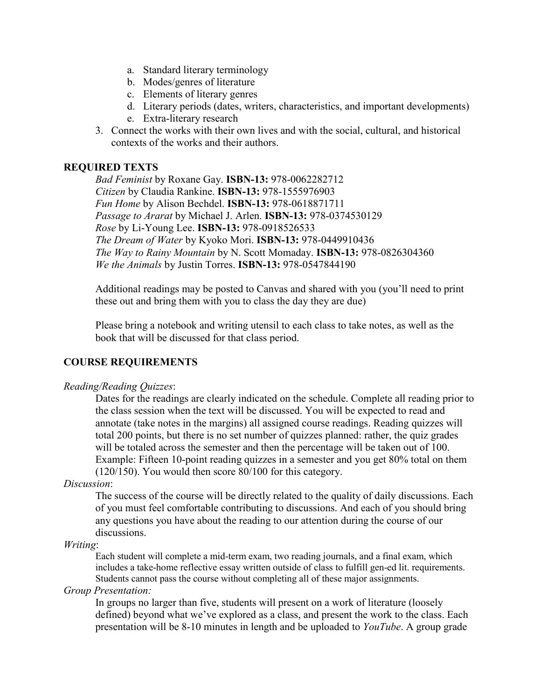- a. Standard literary terminology
- b. Modes/genres of literature
- c. Elements of literary genres
- d. Literary periods (dates, writers, characteristics, and important developments)
- e. Extra-literary research
- 3. Connect the works with their own lives and with the social, cultural, and historical contexts of the works and their authors.

#### **REQUIRED TEXTS**

*Bad Feminist* by Roxane Gay. **ISBN-13:** 978-0062282712 *Citizen* by Claudia Rankine. **ISBN-13:** 978-1555976903 *Fun Home* by Alison Bechdel. **ISBN-13:** 978-0618871711 *Passage to Ararat* by Michael J. Arlen. **ISBN-13:** 978-0374530129 *Rose* by Li-Young Lee. **ISBN-13:** 978-0918526533 *The Dream of Water* by Kyoko Mori. **ISBN-13:** 978-0449910436 *The Way to Rainy Mountain* by N. Scott Momaday. **ISBN-13:** 978-0826304360 *We the Animals* by Justin Torres. **ISBN-13:** 978-0547844190

Additional readings may be posted to Canvas and shared with you (you'll need to print these out and bring them with you to class the day they are due)

Please bring a notebook and writing utensil to each class to take notes, as well as the book that will be discussed for that class period.

#### **COURSE REQUIREMENTS**

#### *Reading/Reading Quizzes*:

Dates for the readings are clearly indicated on the schedule. Complete all reading prior to the class session when the text will be discussed. You will be expected to read and annotate (take notes in the margins) all assigned course readings. Reading quizzes will total 200 points, but there is no set number of quizzes planned: rather, the quiz grades will be totaled across the semester and then the percentage will be taken out of 100. Example: Fifteen 10-point reading quizzes in a semester and you get 80% total on them (120/150). You would then score 80/100 for this category.

#### *Discussion*:

The success of the course will be directly related to the quality of daily discussions. Each of you must feel comfortable contributing to discussions. And each of you should bring any questions you have about the reading to our attention during the course of our discussions.

#### *Writing*:

Each student will complete a mid-term exam, two reading journals, and a final exam, which includes a take-home reflective essay written outside of class to fulfill gen-ed lit. requirements. Students cannot pass the course without completing all of these major assignments.

#### *Group Presentation:*

In groups no larger than five, students will present on a work of literature (loosely defined) beyond what we've explored as a class, and present the work to the class. Each presentation will be 8-10 minutes in length and be uploaded to *YouTube*. A group grade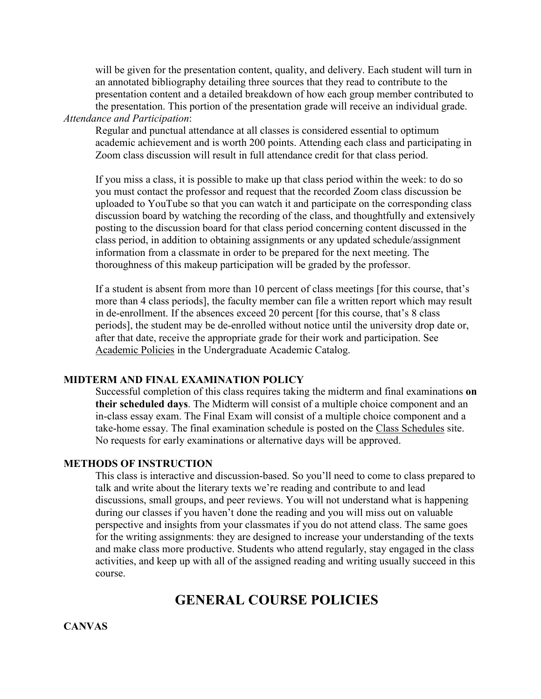will be given for the presentation content, quality, and delivery. Each student will turn in an annotated bibliography detailing three sources that they read to contribute to the presentation content and a detailed breakdown of how each group member contributed to the presentation. This portion of the presentation grade will receive an individual grade. *Attendance and Participation*:

Regular and punctual attendance at all classes is considered essential to optimum academic achievement and is worth 200 points. Attending each class and participating in Zoom class discussion will result in full attendance credit for that class period.

If you miss a class, it is possible to make up that class period within the week: to do so you must contact the professor and request that the recorded Zoom class discussion be uploaded to YouTube so that you can watch it and participate on the corresponding class discussion board by watching the recording of the class, and thoughtfully and extensively posting to the discussion board for that class period concerning content discussed in the class period, in addition to obtaining assignments or any updated schedule/assignment information from a classmate in order to be prepared for the next meeting. The thoroughness of this makeup participation will be graded by the professor.

If a student is absent from more than 10 percent of class meetings [for this course, that's more than 4 class periods], the faculty member can file a written report which may result in de-enrollment. If the absences exceed 20 percent [for this course, that's 8 class periods], the student may be de-enrolled without notice until the university drop date or, after that date, receive the appropriate grade for their work and participation. See [Academic Policies](http://catalog.pointloma.edu/content.php?catoid=18&navoid=1278) in the Undergraduate Academic Catalog.

#### **MIDTERM AND FINAL EXAMINATION POLICY**

Successful completion of this class requires taking the midterm and final examinations **on their scheduled days**. The Midterm will consist of a multiple choice component and an in-class essay exam. The Final Exam will consist of a multiple choice component and a take-home essay. The final examination schedule is posted on the [Class Schedules](http://www.pointloma.edu/experience/academics/class-schedules) site. No requests for early examinations or alternative days will be approved.

#### **METHODS OF INSTRUCTION**

This class is interactive and discussion-based. So you'll need to come to class prepared to talk and write about the literary texts we're reading and contribute to and lead discussions, small groups, and peer reviews. You will not understand what is happening during our classes if you haven't done the reading and you will miss out on valuable perspective and insights from your classmates if you do not attend class. The same goes for the writing assignments: they are designed to increase your understanding of the texts and make class more productive. Students who attend regularly, stay engaged in the class activities, and keep up with all of the assigned reading and writing usually succeed in this course.

### **GENERAL COURSE POLICIES**

#### **CANVAS**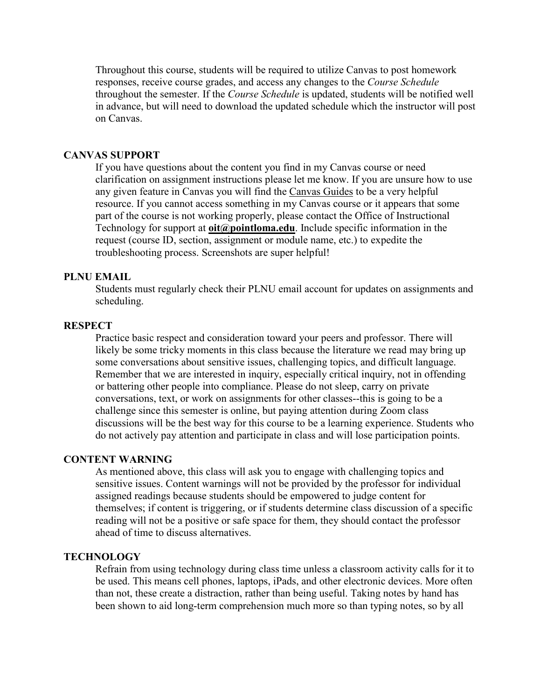Throughout this course, students will be required to utilize Canvas to post homework responses, receive course grades, and access any changes to the *Course Schedule* throughout the semester. If the *Course Schedule* is updated, students will be notified well in advance, but will need to download the updated schedule which the instructor will post on Canvas.

#### **CANVAS SUPPORT**

If you have questions about the content you find in my Canvas course or need clarification on assignment instructions please let me know. If you are unsure how to use any given feature in Canvas you will find the [Canvas Guides](https://community.canvaslms.com/community/answers/guides/) to be a very helpful resource. If you cannot access something in my Canvas course or it appears that some part of the course is not working properly, please contact the Office of Instructional Technology for support at **[oit@pointloma.edu](mailto:oit@pointloma.edu)**. Include specific information in the request (course ID, section, assignment or module name, etc.) to expedite the troubleshooting process. Screenshots are super helpful!

#### **PLNU EMAIL**

Students must regularly check their PLNU email account for updates on assignments and scheduling.

#### **RESPECT**

Practice basic respect and consideration toward your peers and professor. There will likely be some tricky moments in this class because the literature we read may bring up some conversations about sensitive issues, challenging topics, and difficult language. Remember that we are interested in inquiry, especially critical inquiry, not in offending or battering other people into compliance. Please do not sleep, carry on private conversations, text, or work on assignments for other classes--this is going to be a challenge since this semester is online, but paying attention during Zoom class discussions will be the best way for this course to be a learning experience. Students who do not actively pay attention and participate in class and will lose participation points.

#### **CONTENT WARNING**

As mentioned above, this class will ask you to engage with challenging topics and sensitive issues. Content warnings will not be provided by the professor for individual assigned readings because students should be empowered to judge content for themselves; if content is triggering, or if students determine class discussion of a specific reading will not be a positive or safe space for them, they should contact the professor ahead of time to discuss alternatives.

#### **TECHNOLOGY**

Refrain from using technology during class time unless a classroom activity calls for it to be used. This means cell phones, laptops, iPads, and other electronic devices. More often than not, these create a distraction, rather than being useful. Taking notes by hand has been shown to aid long-term comprehension much more so than typing notes, so by all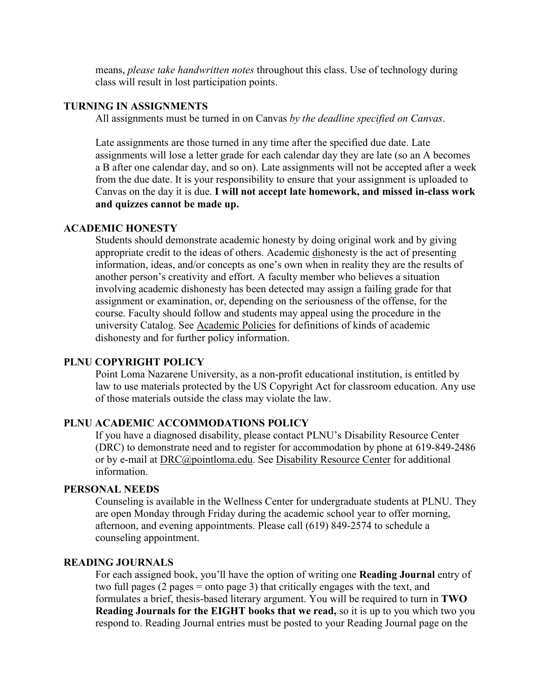means, *please take handwritten notes* throughout this class. Use of technology during class will result in lost participation points.

#### **TURNING IN ASSIGNMENTS**

All assignments must be turned in on Canvas *by the deadline specified on Canvas*.

Late assignments are those turned in any time after the specified due date. Late assignments will lose a letter grade for each calendar day they are late (so an A becomes a B after one calendar day, and so on). Late assignments will not be accepted after a week from the due date. It is your responsibility to ensure that your assignment is uploaded to Canvas on the day it is due. **I will not accept late homework, and missed in-class work and quizzes cannot be made up.**

#### **ACADEMIC HONESTY**

Students should demonstrate academic honesty by doing original work and by giving appropriate credit to the ideas of others. Academic dishonesty is the act of presenting information, ideas, and/or concepts as one's own when in reality they are the results of another person's creativity and effort. A faculty member who believes a situation involving academic dishonesty has been detected may assign a failing grade for that assignment or examination, or, depending on the seriousness of the offense, for the course. Faculty should follow and students may appeal using the procedure in the university Catalog. See [Academic Policies](http://catalog.pointloma.edu/content.php?catoid=18&navoid=1278) for definitions of kinds of academic dishonesty and for further policy information.

#### **PLNU COPYRIGHT POLICY**

Point Loma Nazarene University, as a non-profit educational institution, is entitled by law to use materials protected by the US Copyright Act for classroom education. Any use of those materials outside the class may violate the law.

#### **PLNU ACADEMIC ACCOMMODATIONS POLICY**

If you have a diagnosed disability, please contact PLNU's Disability Resource Center (DRC) to demonstrate need and to register for accommodation by phone at 619-849-2486 or by e-mail at [DRC@pointloma.edu.](mailto:DRC@pointloma.edu) See [Disability Resource Center](http://www.pointloma.edu/experience/offices/administrative-offices/academic-advising-office/disability-resource-center) for additional information.

#### **PERSONAL NEEDS**

Counseling is available in the Wellness Center for undergraduate students at PLNU. They are open Monday through Friday during the academic school year to offer morning, afternoon, and evening appointments. Please call (619) 849-2574 to schedule a counseling appointment.

#### **READING JOURNALS**

For each assigned book, you'll have the option of writing one **Reading Journal** entry of two full pages (2 pages = onto page 3) that critically engages with the text, and formulates a brief, thesis-based literary argument. You will be required to turn in **TWO Reading Journals for the EIGHT books that we read,** so it is up to you which two you respond to. Reading Journal entries must be posted to your Reading Journal page on the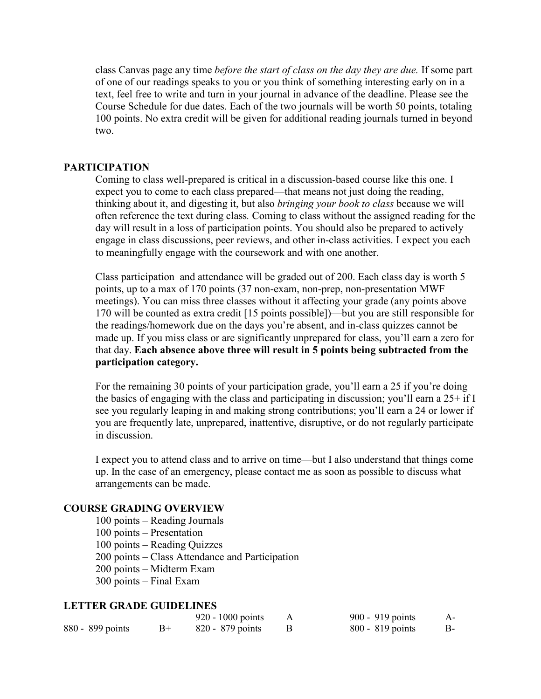class Canvas page any time *before the start of class on the day they are due.* If some part of one of our readings speaks to you or you think of something interesting early on in a text, feel free to write and turn in your journal in advance of the deadline. Please see the Course Schedule for due dates. Each of the two journals will be worth 50 points, totaling 100 points. No extra credit will be given for additional reading journals turned in beyond two.

#### **PARTICIPATION**

Coming to class well-prepared is critical in a discussion-based course like this one. I expect you to come to each class prepared—that means not just doing the reading, thinking about it, and digesting it, but also *bringing your book to class* because we will often reference the text during class*.* Coming to class without the assigned reading for the day will result in a loss of participation points. You should also be prepared to actively engage in class discussions, peer reviews, and other in-class activities. I expect you each to meaningfully engage with the coursework and with one another.

Class participation and attendance will be graded out of 200. Each class day is worth 5 points, up to a max of 170 points (37 non-exam, non-prep, non-presentation MWF meetings). You can miss three classes without it affecting your grade (any points above 170 will be counted as extra credit [15 points possible])—but you are still responsible for the readings/homework due on the days you're absent, and in-class quizzes cannot be made up. If you miss class or are significantly unprepared for class, you'll earn a zero for that day. **Each absence above three will result in 5 points being subtracted from the participation category.** 

For the remaining 30 points of your participation grade, you'll earn a 25 if you're doing the basics of engaging with the class and participating in discussion; you'll earn a  $25 + if I$ see you regularly leaping in and making strong contributions; you'll earn a 24 or lower if you are frequently late, unprepared, inattentive, disruptive, or do not regularly participate in discussion.

I expect you to attend class and to arrive on time—but I also understand that things come up. In the case of an emergency, please contact me as soon as possible to discuss what arrangements can be made.

#### **COURSE GRADING OVERVIEW**

- 100 points Reading Journals
- 100 points Presentation
- 100 points Reading Quizzes
- 200 points Class Attendance and Participation
- 200 points Midterm Exam
- 300 points Final Exam

#### **LETTER GRADE GUIDELINES**

|                  |      | 920 - 1000 points | 900 - 919 points | A- |
|------------------|------|-------------------|------------------|----|
| 880 - 899 points | $B+$ | 820 - 879 points  | 800 - 819 points | B- |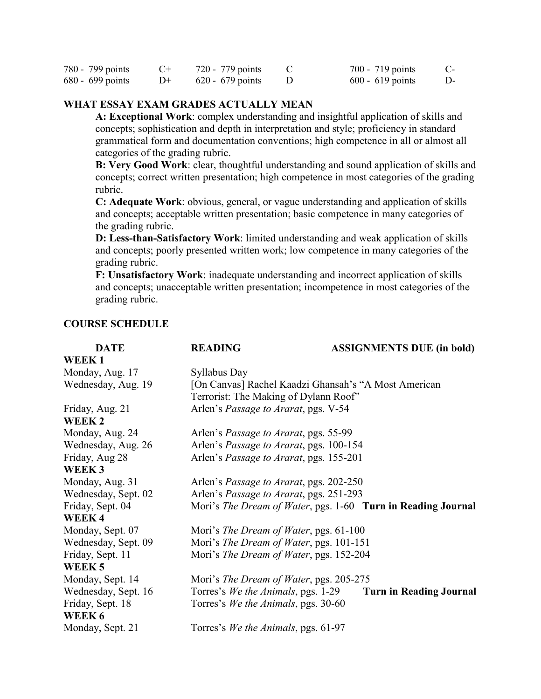| 780 - 799 points |    | 720 - 779 points   | 700 - 719 points   | $C-$ |
|------------------|----|--------------------|--------------------|------|
| 680 - 699 points | D+ | $620 - 679$ points | $600 - 619$ points | $D-$ |

#### **WHAT ESSAY EXAM GRADES ACTUALLY MEAN**

**A: Exceptional Work**: complex understanding and insightful application of skills and concepts; sophistication and depth in interpretation and style; proficiency in standard grammatical form and documentation conventions; high competence in all or almost all categories of the grading rubric.

**B: Very Good Work**: clear, thoughtful understanding and sound application of skills and concepts; correct written presentation; high competence in most categories of the grading rubric.

**C: Adequate Work**: obvious, general, or vague understanding and application of skills and concepts; acceptable written presentation; basic competence in many categories of the grading rubric.

**D: Less-than-Satisfactory Work**: limited understanding and weak application of skills and concepts; poorly presented written work; low competence in many categories of the grading rubric.

**F: Unsatisfactory Work**: inadequate understanding and incorrect application of skills and concepts; unacceptable written presentation; incompetence in most categories of the grading rubric.

#### **COURSE SCHEDULE**

| <b>DATE</b>         | <b>READING</b>                                       | <b>ASSIGNMENTS DUE (in bold)</b>                             |  |
|---------------------|------------------------------------------------------|--------------------------------------------------------------|--|
| WEEK1               |                                                      |                                                              |  |
| Monday, Aug. 17     | Syllabus Day                                         |                                                              |  |
| Wednesday, Aug. 19  | [On Canvas] Rachel Kaadzi Ghansah's "A Most American |                                                              |  |
|                     | Terrorist: The Making of Dylann Roof"                |                                                              |  |
| Friday, Aug. 21     | Arlen's <i>Passage to Ararat</i> , pgs. V-54         |                                                              |  |
| WEEK 2              |                                                      |                                                              |  |
| Monday, Aug. 24     | Arlen's <i>Passage to Ararat</i> , pgs. 55-99        |                                                              |  |
| Wednesday, Aug. 26  | Arlen's <i>Passage to Ararat</i> , pgs. 100-154      |                                                              |  |
| Friday, Aug 28      | Arlen's <i>Passage to Ararat</i> , pgs. 155-201      |                                                              |  |
| WEEK <sub>3</sub>   |                                                      |                                                              |  |
| Monday, Aug. 31     | Arlen's <i>Passage to Ararat</i> , pgs. 202-250      |                                                              |  |
| Wednesday, Sept. 02 | Arlen's <i>Passage to Ararat</i> , pgs. 251-293      |                                                              |  |
| Friday, Sept. 04    |                                                      | Mori's The Dream of Water, pgs. 1-60 Turn in Reading Journal |  |
| <b>WEEK4</b>        |                                                      |                                                              |  |
| Monday, Sept. 07    | Mori's <i>The Dream of Water</i> , pgs. 61-100       |                                                              |  |
| Wednesday, Sept. 09 | Mori's The Dream of Water, pgs. 101-151              |                                                              |  |
| Friday, Sept. 11    | Mori's The Dream of Water, pgs. 152-204              |                                                              |  |
| WEEK <sub>5</sub>   |                                                      |                                                              |  |
| Monday, Sept. 14    | Mori's <i>The Dream of Water</i> , pgs. 205-275      |                                                              |  |
| Wednesday, Sept. 16 | Torres's We the Animals, pgs. 1-29                   | <b>Turn in Reading Journal</b>                               |  |
| Friday, Sept. 18    | Torres's We the Animals, pgs. 30-60                  |                                                              |  |
| WEEK 6              |                                                      |                                                              |  |
| Monday, Sept. 21    | Torres's We the Animals, pgs. 61-97                  |                                                              |  |